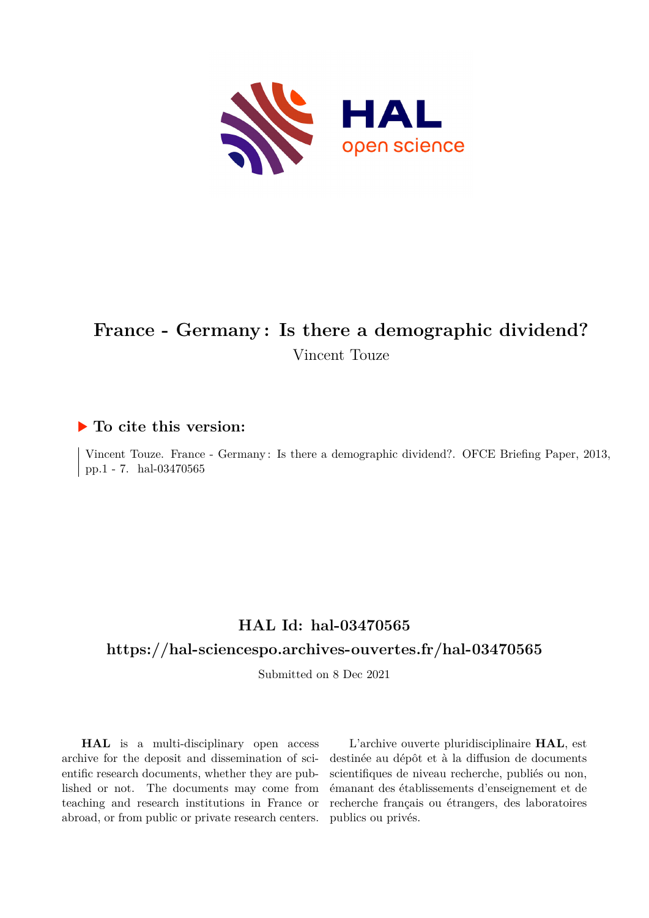

## **France - Germany : Is there a demographic dividend?** Vincent Touze

#### **To cite this version:**

Vincent Touze. France - Germany : Is there a demographic dividend?. OFCE Briefing Paper, 2013, pp.1 - 7. hal-03470565

### **HAL Id: hal-03470565 <https://hal-sciencespo.archives-ouvertes.fr/hal-03470565>**

Submitted on 8 Dec 2021

**HAL** is a multi-disciplinary open access archive for the deposit and dissemination of scientific research documents, whether they are published or not. The documents may come from teaching and research institutions in France or abroad, or from public or private research centers.

L'archive ouverte pluridisciplinaire **HAL**, est destinée au dépôt et à la diffusion de documents scientifiques de niveau recherche, publiés ou non, émanant des établissements d'enseignement et de recherche français ou étrangers, des laboratoires publics ou privés.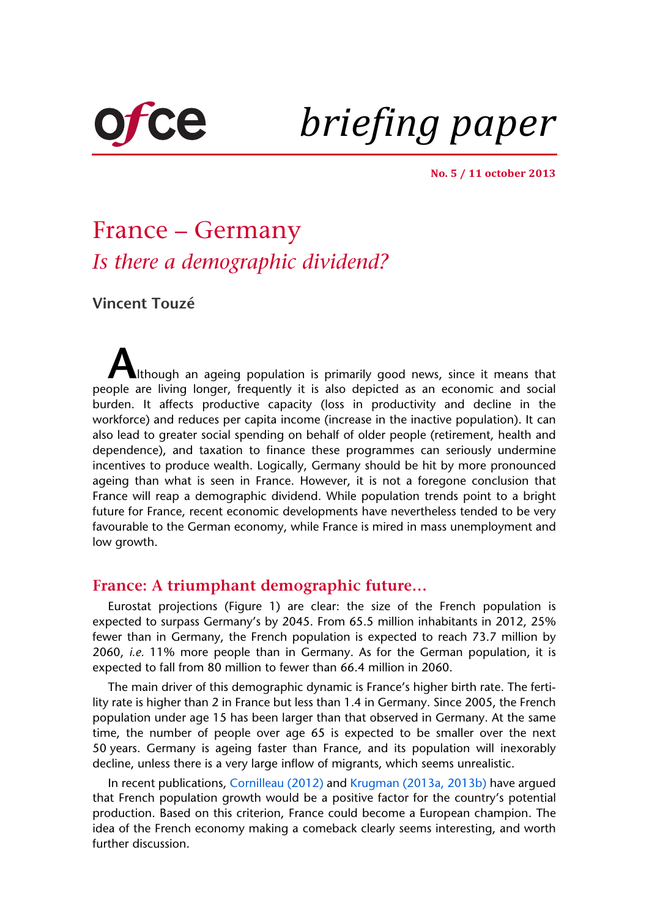

*briefing paper*

**No. 5 / 11 october 2013**

# France – Germany *Is there a demographic dividend?*

**[Vincent Touzé](http://www.ofce.sciences-po.fr/pages-chercheurs/touze.htm)**

**A**lthough an ageing population is primarily good news, since it means that people are living longer, frequently it is also depicted as an economic and social burden. It affects productive capacity (loss in productivity and decline in the workforce) and reduces per capita income (increase in the inactive population). It can also lead to greater social spending on behalf of older people (retirement, health and dependence), and taxation to finance these programmes can seriously undermine incentives to produce wealth. Logically, Germany should be hit by more pronounced ageing than what is seen in France. However, it is not a foregone conclusion that France will reap a demographic dividend. While population trends point to a bright future for France, recent economic developments have nevertheless tended to be very favourable to the German economy, while France is mired in mass unemployment and low growth.

#### **France: A triumphant demographic future…**

Eurostat projections (Figure 1) are clear: the size of the French population is expected to surpass Germany's by 2045. From 65.5 million inhabitants in 2012, 25% fewer than in Germany, the French population is expected to reach 73.7 million by 2060, *i.e.* 11% more people than in Germany. As for the German population, it is expected to fall from 80 million to fewer than 66.4 million in 2060.

The main driver of this demographic dynamic is France's higher birth rate. The fertility rate is higher than 2 in France but less than 1.4 in Germany. Since 2005, the French population under age 15 has been larger than that observed in Germany. At the same time, the number of people over age 65 is expected to be smaller over the next 50 years. Germany is ageing faster than France, and its population will inexorably decline, unless there is a very large inflow of migrants, which seems unrealistic.

In recent publications, [Cornilleau \(2012\)](http://www.ofce.sciences-po.fr/blog/?p=2567) and [Krugman \(2013a,](http://krugman.blogs.nytimes.com/2013/08/29/the-gloire-to-come/?_r=0) [2013b\)](http://krugman.blogs.nytimes.com/2013/09/17/more-on-the-coming-french-imperium/) have argued that French population growth would be a positive factor for the country's potential production. Based on this criterion, France could become a European champion. The idea of the French economy making a comeback clearly seems interesting, and worth further discussion.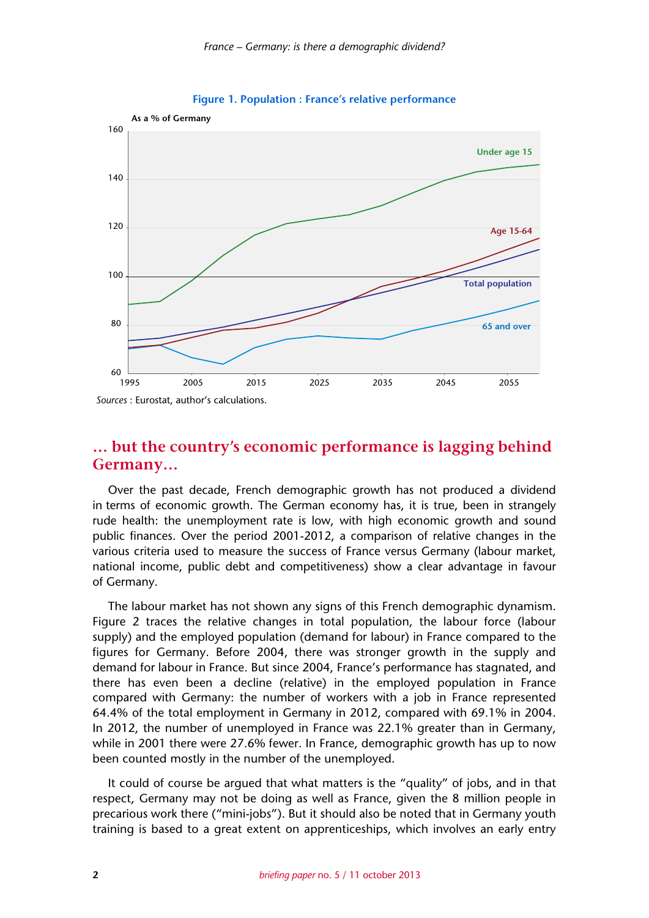

**Figure 1. Population : France's relative performance**

#### **… but the country's economic performance is lagging behind Germany…**

Over the past decade, French demographic growth has not produced a dividend in terms of economic growth. The German economy has, it is true, been in strangely rude health: the unemployment rate is low, with high economic growth and sound public finances. Over the period 2001-2012, a comparison of relative changes in the various criteria used to measure the success of France versus Germany (labour market, national income, public debt and competitiveness) show a clear advantage in favour of Germany.

The labour market has not shown any signs of this French demographic dynamism. Figure 2 traces the relative changes in total population, the labour force (labour supply) and the employed population (demand for labour) in France compared to the figures for Germany. Before 2004, there was stronger growth in the supply and demand for labour in France. But since 2004, France's performance has stagnated, and there has even been a decline (relative) in the employed population in France compared with Germany: the number of workers with a job in France represented 64.4% of the total employment in Germany in 2012, compared with 69.1% in 2004. In 2012, the number of unemployed in France was 22.1% greater than in Germany, while in 2001 there were 27.6% fewer. In France, demographic growth has up to now been counted mostly in the number of the unemployed.

It could of course be argued that what matters is the "quality" of jobs, and in that respect, Germany may not be doing as well as France, given the 8 million people in precarious work there ("mini-jobs"). But it should also be noted that in Germany youth training is based to a great extent on apprenticeships, which involves an early entry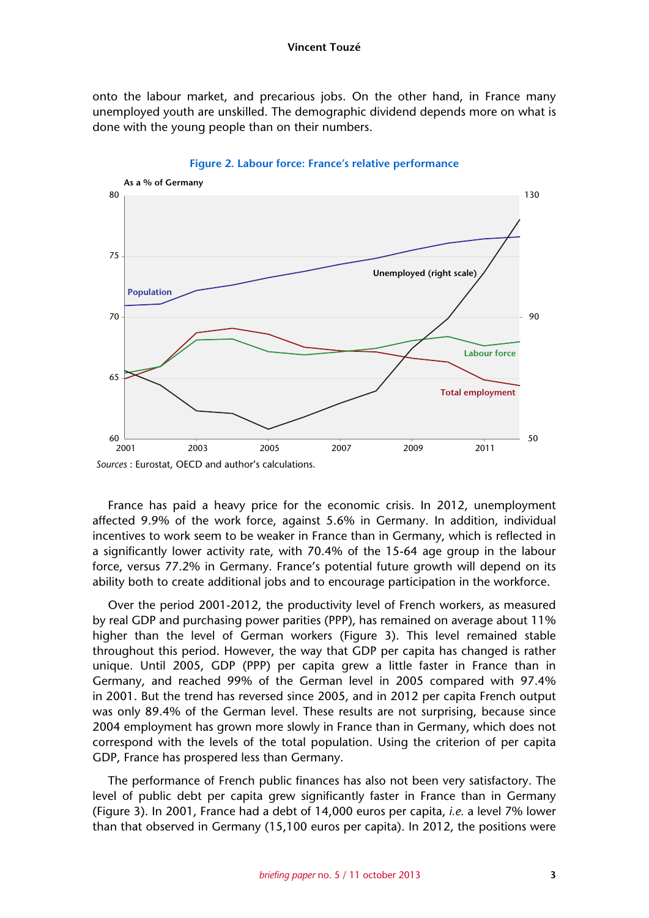#### **Vincent Touzé**

onto the labour market, and precarious jobs. On the other hand, in France many unemployed youth are unskilled. The demographic dividend depends more on what is done with the young people than on their numbers.



**Figure 2. Labour force: France's relative performance**

France has paid a heavy price for the economic crisis. In 2012, unemployment affected 9.9% of the work force, against 5.6% in Germany. In addition, individual incentives to work seem to be weaker in France than in Germany, which is reflected in a significantly lower activity rate, with 70.4% of the 15-64 age group in the labour force, versus 77.2% in Germany. France's potential future growth will depend on its ability both to create additional jobs and to encourage participation in the workforce.

Over the period 2001-2012, the productivity level of French workers, as measured by real GDP and purchasing power parities (PPP), has remained on average about 11% higher than the level of German workers (Figure 3). This level remained stable throughout this period. However, the way that GDP per capita has changed is rather unique. Until 2005, GDP (PPP) per capita grew a little faster in France than in Germany, and reached 99% of the German level in 2005 compared with 97.4% in 2001. But the trend has reversed since 2005, and in 2012 per capita French output was only 89.4% of the German level. These results are not surprising, because since 2004 employment has grown more slowly in France than in Germany, which does not correspond with the levels of the total population. Using the criterion of per capita GDP, France has prospered less than Germany.

The performance of French public finances has also not been very satisfactory. The level of public debt per capita grew significantly faster in France than in Germany (Figure 3). In 2001, France had a debt of 14,000 euros per capita, *i.e.* a level 7% lower than that observed in Germany (15,100 euros per capita). In 2012, the positions were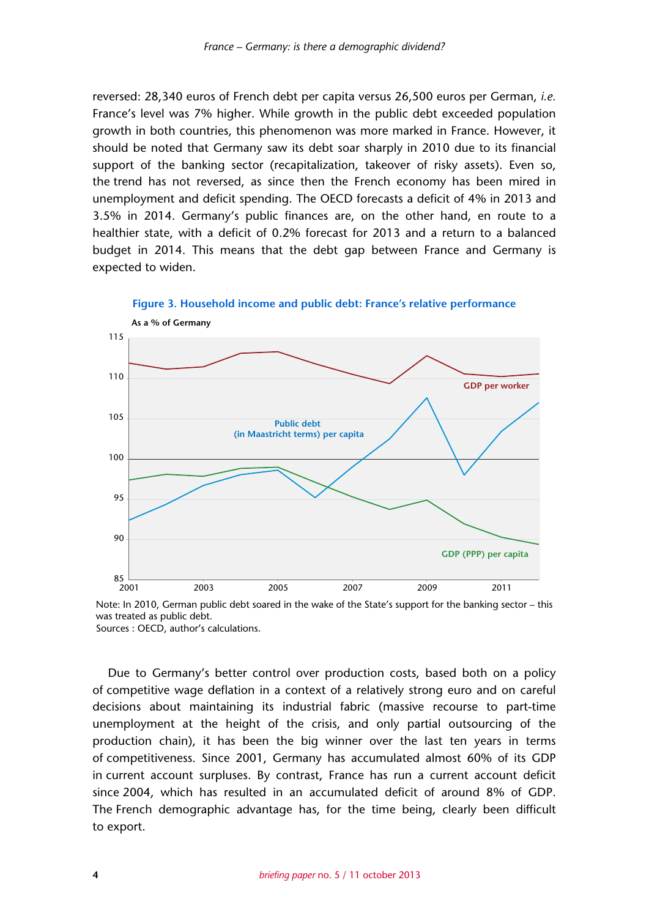reversed: 28,340 euros of French debt per capita versus 26,500 euros per German, *i.e.* France's level was 7% higher. While growth in the public debt exceeded population growth in both countries, this phenomenon was more marked in France. However, it should be noted that Germany saw its debt soar sharply in 2010 due to its financial support of the banking sector (recapitalization, takeover of risky assets). Even so, the trend has not reversed, as since then the French economy has been mired in unemployment and deficit spending. The OECD forecasts a deficit of 4% in 2013 and 3.5% in 2014. Germany's public finances are, on the other hand, en route to a healthier state, with a deficit of 0.2% forecast for 2013 and a return to a balanced budget in 2014. This means that the debt gap between France and Germany is expected to widen.



**Figure 3. Household income and public debt: France's relative performance**

Due to Germany's better control over production costs, based both on a policy of competitive wage deflation in a context of a relatively strong euro and on careful decisions about maintaining its industrial fabric (massive recourse to part-time unemployment at the height of the crisis, and only partial outsourcing of the production chain), it has been the big winner over the last ten years in terms of competitiveness. Since 2001, Germany has accumulated almost 60% of its GDP in current account surpluses. By contrast, France has run a current account deficit since 2004, which has resulted in an accumulated deficit of around 8% of GDP. The French demographic advantage has, for the time being, clearly been difficult to export.

Note: In 2010, German public debt soared in the wake of the State's support for the banking sector – this was treated as public debt. Sources : OECD, author's calculations.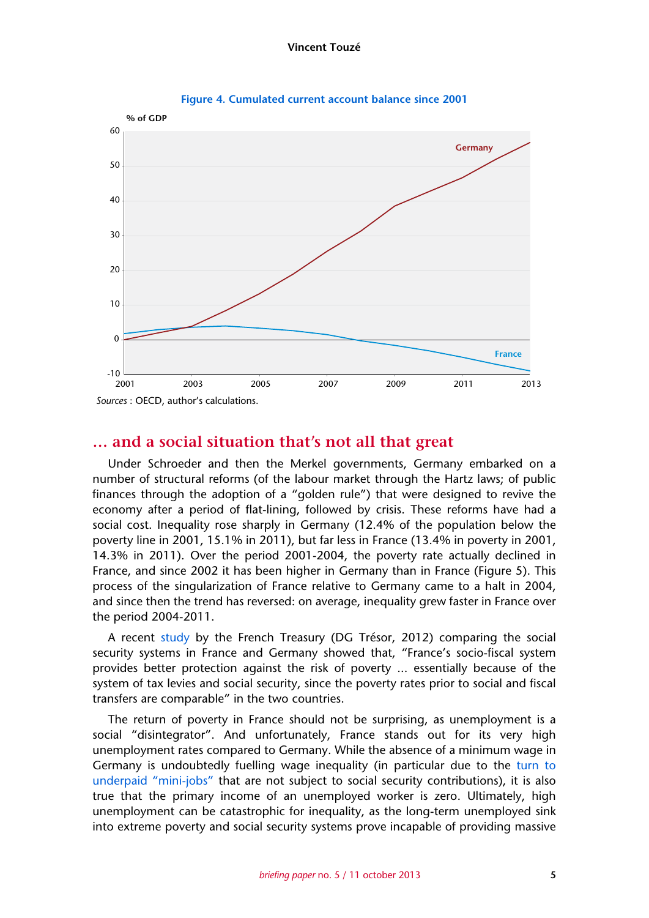

**Figure 4. Cumulated current account balance since 2001**

#### **… and a social situation that's not all that great**

Under Schroeder and then the Merkel governments, Germany embarked on a number of structural reforms (of the labour market through the Hartz laws; of public finances through the adoption of a "golden rule") that were designed to revive the economy after a period of flat-lining, followed by crisis. These reforms have had a social cost. Inequality rose sharply in Germany (12.4% of the population below the poverty line in 2001, 15.1% in 2011), but far less in France (13.4% in poverty in 2001, 14.3% in 2011). Over the period 2001-2004, the poverty rate actually declined in France, and since 2002 it has been higher in Germany than in France (Figure 5). This process of the singularization of France relative to Germany came to a halt in 2004, and since then the trend has reversed: on average, inequality grew faster in France over the period 2004-2011.

A recent [study](http://www.tresor.economie.gouv.fr/File/374396) by the French Treasury (DG Trésor, 2012) comparing the social security systems in France and Germany showed that, "France's socio-fiscal system provides better protection against the risk of poverty ... essentially because of the system of tax levies and social security, since the poverty rates prior to social and fiscal transfers are comparable" in the two countries.

The return of poverty in France should not be surprising, as unemployment is a social "disintegrator". And unfortunately, France stands out for its very high unemployment rates compared to Germany. While the absence of a minimum wage in Germany is undoubtedly fuelling wage inequality (in particular due to the [turn to](http://www.ofce.sciences-po.fr/blog/?p=4507#more-4507)) [underpaid "mini-jobs"](http://www.ofce.sciences-po.fr/blog/?p=4507#more-4507)) that are not subject to social security contributions), it is also true that the primary income of an unemployed worker is zero. Ultimately, high unemployment can be catastrophic for inequality, as the long-term unemployed sink into extreme poverty and social security systems prove incapable of providing massive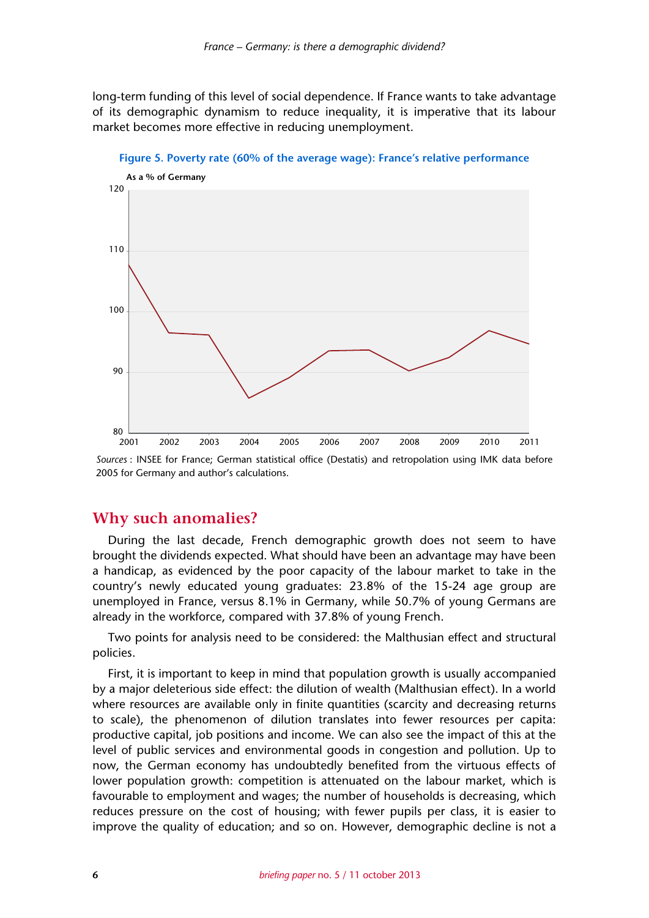long-term funding of this level of social dependence. If France wants to take advantage of its demographic dynamism to reduce inequality, it is imperative that its labour market becomes more effective in reducing unemployment.



**Figure 5. Poverty rate (60% of the average wage): France's relative performance**

*Sources* : INSEE for France; German statistical office (Destatis) and retropolation using IMK data before 2005 for Germany and author's calculations.

#### **Why such anomalies?**

During the last decade, French demographic growth does not seem to have brought the dividends expected. What should have been an advantage may have been a handicap, as evidenced by the poor capacity of the labour market to take in the country's newly educated young graduates: 23.8% of the 15-24 age group are unemployed in France, versus 8.1% in Germany, while 50.7% of young Germans are already in the workforce, compared with 37.8% of young French.

Two points for analysis need to be considered: the Malthusian effect and structural policies.

First, it is important to keep in mind that population growth is usually accompanied by a major deleterious side effect: the dilution of wealth (Malthusian effect). In a world where resources are available only in finite quantities (scarcity and decreasing returns to scale), the phenomenon of dilution translates into fewer resources per capita: productive capital, job positions and income. We can also see the impact of this at the level of public services and environmental goods in congestion and pollution. Up to now, the German economy has undoubtedly benefited from the virtuous effects of lower population growth: competition is attenuated on the labour market, which is favourable to employment and wages; the number of households is decreasing, which reduces pressure on the cost of housing; with fewer pupils per class, it is easier to improve the quality of education; and so on. However, demographic decline is not a